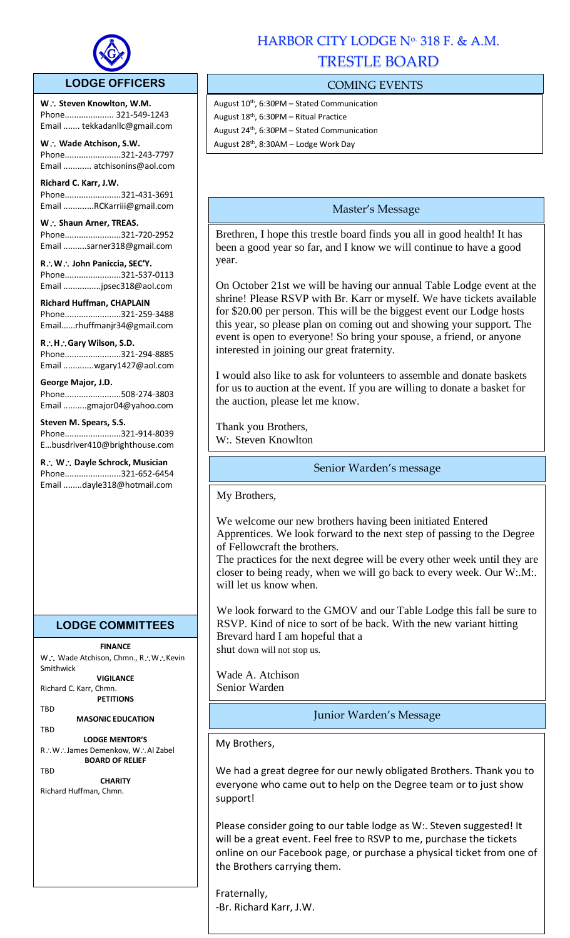

## **LODGE OFFICERS**

W.: Steven Knowlton, W.M. Phone..................... 321-549-1243 Email ....... tekkadanllc@gmail.com

l,

**W Wade Atchison, S.W.** Phone........................321-243-7797 Email ............ atchisonins@aol.com

**Richard C. Karr, J.W.**  Phone........................321-431-3691 Email .............RCKarriii@gmail.com

W.: Shaun Arner, TREAS. Phone........................321-720-2952 Email ..........sarner318@gmail.com

**RW John Paniccia, SEC'Y.** Phone........................321-537-0113 Email ................jpsec318@aol.com

**Richard Huffman, CHAPLAIN** Phone........................321-259-3488 Email......rhuffmanjr34@gmail.com

**RHGary Wilson, S.D.**  Phone........................321-294-8885 Email .............wgary1427@aol.com

**George Major, J.D.** Phone........................508-274-3803

Email ..........gmajor04@yahoo.com

**Steven M. Spears, S.S.** Phone........................321-914-8039 E…busdriver410@brighthouse.com

**R W Dayle Schrock, Musician**  Phone........................321-652-6454 Email ........dayle318@hotmail.com

# **LODGE COMMITTEES**

**FINANCE**

W .: Wade Atchison, Chmn., R .: W .: Kevin Smithwick

**VIGILANCE** Richard C. Karr, Chmn.

**PETITIONS** TBD

**MASONIC EDUCATION** TBD

**LODGE MENTOR'S** R∴W∴James Demenkow, W∴Al Zabel **BOARD OF RELIEF**

**TRD** 

**CHARITY** Richard Huffman, Chmn.

# HARBOR CITY LODGE Nº 318 F. & A.M. TRESTLE BOARD

# COMING EVENTS

August  $10^{th}$ , 6:30PM – Stated Communication August 18th, 6:30PM – Ritual Practice August  $24^{th}$ , 6:30PM – Stated Communication August 28<sup>th</sup>, 8:30AM - Lodge Work Day

# Master's Message

Brethren, I hope this trestle board finds you all in good health! It has been a good year so far, and I know we will continue to have a good year.

On October 21st we will be having our annual Table Lodge event at the shrine! Please RSVP with Br. Karr or myself. We have tickets available for \$20.00 per person. This will be the biggest event our Lodge hosts this year, so please plan on coming out and showing your support. The event is open to everyone! So bring your spouse, a friend, or anyone interested in joining our great fraternity.

I would also like to ask for volunteers to assemble and donate baskets for us to auction at the event. If you are willing to donate a basket for the auction, please let me know.

Thank you Brothers, W:. Steven Knowlton

Senior Warden's message

My Brothers,

We welcome our new brothers having been initiated Entered Apprentices. We look forward to the next step of passing to the Degree of Fellowcraft the brothers.

The practices for the next degree will be every other week until they are closer to being ready, when we will go back to every week. Our W:.M:. will let us know when.

We look forward to the GMOV and our Table Lodge this fall be sure to RSVP. Kind of nice to sort of be back. With the new variant hitting Brevard hard I am hopeful that a shut down will not stop us.

Wade A. Atchison Senior Warden

Junior Warden's Message

My Brothers,

We had a great degree for our newly obligated Brothers. Thank you to everyone who came out to help on the Degree team or to just show support!

Please consider going to our table lodge as W:. Steven suggested! It will be a great event. Feel free to RSVP to me, purchase the tickets online on our Facebook page, or purchase a physical ticket from one of the Brothers carrying them.

Fraternally, -Br. Richard Karr, J.W.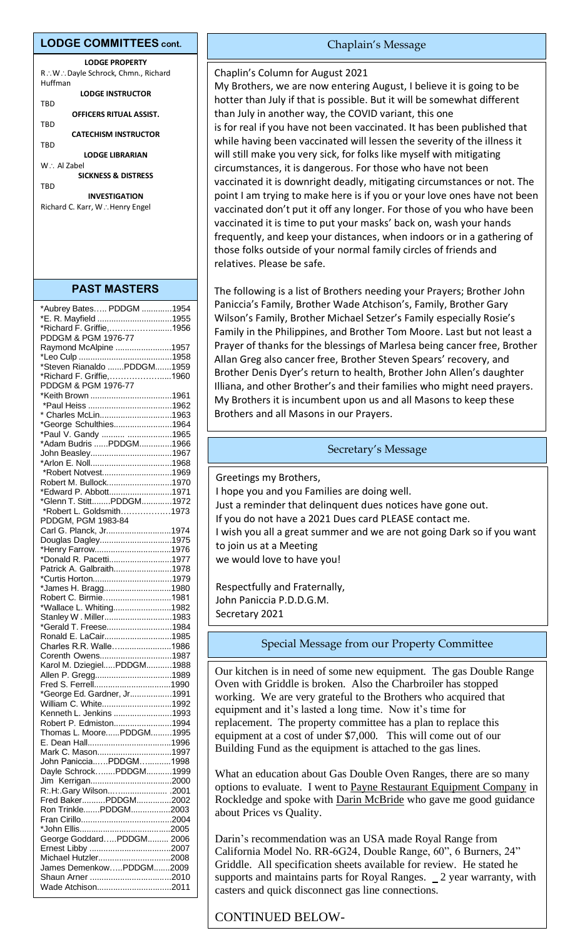#### **LODGE COMMITTEES cont.**

| <b>LODGE PROPERTY</b>                 |
|---------------------------------------|
| R.: W.: Dayle Schrock, Chmn., Richard |
| Huffman                               |
| LODGE INSTRUCTOR                      |
| <b>TRD</b>                            |
| OFFICERS RITUAL ASSIST.               |
| TBD                                   |
| <b>CATECHISM INSTRUCTOR</b>           |
| TRD                                   |
| LODGE LIBRARIAN                       |
| $W \cdot$ Al Zahel                    |
| <b>SICKNESS &amp; DISTRESS</b>        |
| TRD                                   |
| <b>INVESTIGATION</b>                  |
| Richard C. Karr, W∴Henry Engel        |

## **PAST MASTERS**

| *Aubrey Bates PDDGM 1954    |  |
|-----------------------------|--|
| *E. R. Mayfield 1955        |  |
| *Richard F. Griffie,1956    |  |
|                             |  |
| PDDGM & PGM 1976-77         |  |
| Raymond McAlpine 1957       |  |
|                             |  |
| *Steven Rianaldo PDDGM1959  |  |
| *Richard F. Griffie,1960    |  |
| PDDGM & PGM 1976-77         |  |
|                             |  |
|                             |  |
|                             |  |
| * Charles McLin1963         |  |
| *George Schulthies1964      |  |
| *Paul V. Gandy  1965        |  |
| *Adam Budris PDDGM1966      |  |
| John Beasley1967            |  |
|                             |  |
| *Robert Notvest1969         |  |
| Robert M. Bullock1970       |  |
|                             |  |
| *Edward P. Abbott1971       |  |
| *Glenn T. StittPDDGM1972    |  |
| *Robert L. Goldsmith1973    |  |
| PDDGM, PGM 1983-84          |  |
| Carl G. Planck, Jr1974      |  |
| Douglas Dagley1975          |  |
| *Henry Farrow1976           |  |
| *Donald R. Pacetti1977      |  |
| Patrick A. Galbraith1978    |  |
|                             |  |
| *Curtis Horton1979          |  |
| *James H. Bragg1980         |  |
| Robert C. Birmie1981        |  |
| *Wallace L. Whiting1982     |  |
| Stanley W. Miller1983       |  |
| *Gerald T. Freese1984       |  |
| Ronald E. LaCair1985        |  |
| Charles R.R. Walle1986      |  |
| Corenth Owens1987           |  |
| Karol M. DziegielPDDGM1988  |  |
| Allen P. Gregg1989          |  |
|                             |  |
| *George Ed. Gardner, Jr1991 |  |
|                             |  |
| William C. White1992        |  |
| Kenneth L. Jenkins 1993     |  |
| Robert P. Edmiston1994      |  |
| Thomas L. MoorePDDGM1995    |  |
|                             |  |
| Mark C. Mason1997           |  |
| John PanicciaPDDGM1998      |  |
| Dayle SchrockPDDGM1999      |  |
|                             |  |
| R:.H:.Gary Wilson .2001     |  |
| Fred BakerPDDGM2002         |  |
| Ron TrinklePDDGM2003        |  |
|                             |  |
|                             |  |
|                             |  |
| George GoddardPDDGM 2006    |  |
|                             |  |
| Michael Hutzler2008         |  |
| James DemenkowPDDGM2009     |  |
|                             |  |
| Wade Atchison2011           |  |
|                             |  |

#### Chaplain's Message

#### Chaplin's Column for August 2021

My Brothers, we are now entering August, I believe it is going to be hotter than July if that is possible. But it will be somewhat different than July in another way, the COVID variant, this one is for real if you have not been vaccinated. It has been published that while having been vaccinated will lessen the severity of the illness it will still make you very sick, for folks like myself with mitigating circumstances, it is dangerous. For those who have not been vaccinated it is downright deadly, mitigating circumstances or not. The point I am trying to make here is if you or your love ones have not been vaccinated don't put it off any longer. For those of you who have been vaccinated it is time to put your masks' back on, wash your hands frequently, and keep your distances, when indoors or in a gathering of those folks outside of your normal family circles of friends and relatives. Please be safe.

The following is a list of Brothers needing your Prayers; Brother John Paniccia's Family, Brother Wade Atchison's, Family, Brother Gary Wilson's Family, Brother Michael Setzer's Family especially Rosie's Family in the Philippines, and Brother Tom Moore. Last but not least a Prayer of thanks for the blessings of Marlesa being cancer free, Brother Allan Greg also cancer free, Brother Steven Spears' recovery, and Brother Denis Dyer's return to health, Brother John Allen's daughter Illiana, and other Brother's and their families who might need prayers. My Brothers it is incumbent upon us and all Masons to keep these Brothers and all Masons in our Prayers.

## Secretary's Message

Greetings my Brothers, I hope you and you Families are doing well. Just a reminder that delinquent dues notices have gone out. If you do not have a 2021 Dues card PLEASE contact me. I wish you all a great summer and we are not going Dark so if you want to join us at a Meeting we would love to have you!

Respectfully and Fraternally, John Paniccia P.D.D.G.M. Secretary 2021

## Special Message from our Property Committee

Our kitchen is in need of some new equipment. The gas Double Range Oven with Griddle is broken. Also the Charbroiler has stopped working. We are very grateful to the Brothers who acquired that equipment and it's lasted a long time. Now it's time for replacement. The property committee has a plan to replace this equipment at a cost of under \$7,000. This will come out of our Building Fund as the equipment is attached to the gas lines.

What an education about Gas Double Oven Ranges, there are so many options to evaluate. I went to Payne Restaurant Equipment Company in Rockledge and spoke with Darin McBride who gave me good guidance about Prices vs Quality.

Darin's recommendation was an USA made Royal Range from California Model No. RR-6G24, Double Range, 60", 6 Burners, 24" Griddle. All specification sheets available for review. He stated he supports and maintains parts for Royal Ranges. 2 year warranty, with casters and quick disconnect gas line connections.

# CONTINUED BELOW-